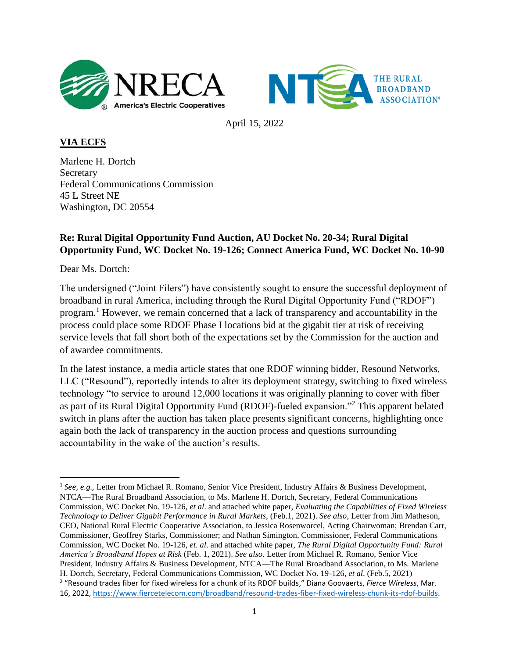



April 15, 2022

**VIA ECFS** 

Marlene H. Dortch **Secretary** Federal Communications Commission 45 L Street NE Washington, DC 20554

## **Re: Rural Digital Opportunity Fund Auction, AU Docket No. 20-34; Rural Digital Opportunity Fund, WC Docket No. 19-126; Connect America Fund, WC Docket No. 10-90**

Dear Ms. Dortch:

The undersigned ("Joint Filers") have consistently sought to ensure the successful deployment of broadband in rural America, including through the Rural Digital Opportunity Fund ("RDOF") program.<sup>1</sup> However, we remain concerned that a lack of transparency and accountability in the process could place some RDOF Phase I locations bid at the gigabit tier at risk of receiving service levels that fall short both of the expectations set by the Commission for the auction and of awardee commitments.

In the latest instance, a media article states that one RDOF winning bidder, Resound Networks, LLC ("Resound"), reportedly intends to alter its deployment strategy, switching to fixed wireless technology "to service to around 12,000 locations it was originally planning to cover with fiber as part of its Rural Digital Opportunity Fund (RDOF)-fueled expansion."<sup>2</sup> This apparent belated switch in plans after the auction has taken place presents significant concerns, highlighting once again both the lack of transparency in the auction process and questions surrounding accountability in the wake of the auction's results.

<sup>&</sup>lt;sup>1</sup> See, e.g., Letter from Michael R. Romano, Senior Vice President, Industry Affairs & Business Development, NTCA—The Rural Broadband Association, to Ms. Marlene H. Dortch, Secretary, Federal Communications Commission, WC Docket No. 19-126, *et al*. and attached white paper, *Evaluating the Capabilities of Fixed Wireless Technology to Deliver Gigabit Performance in Rural Markets,* (Feb.1, 2021). *See also*, Letter from Jim Matheson, CEO, National Rural Electric Cooperative Association, to Jessica Rosenworcel, Acting Chairwoman; Brendan Carr, Commissioner, Geoffrey Starks, Commissioner; and Nathan Simington, Commissioner, Federal Communications Commission, WC Docket No. 19-126, *et*. *al*. and attached white paper, *The Rural Digital Opportunity Fund: Rural America's Broadband Hopes at Risk* (Feb. 1, 2021). *See also*. Letter from Michael R. Romano, Senior Vice President, Industry Affairs & Business Development, NTCA—The Rural Broadband Association, to Ms. Marlene H. Dortch, Secretary, Federal Communications Commission, WC Docket No. 19-126, *et al*. (Feb.5, 2021) 2 "Resound trades fiber for fixed wireless for a chunk of its RDOF builds," Diana Goovaerts, *Fierce Wireless*, Mar. 16, 2022, [https://www.fiercetelecom.com/broadband/resound-trades-fiber-fixed-wireless-chunk-its-rdof-builds.](https://www.fiercetelecom.com/broadband/resound-trades-fiber-fixed-wireless-chunk-its-rdof-builds)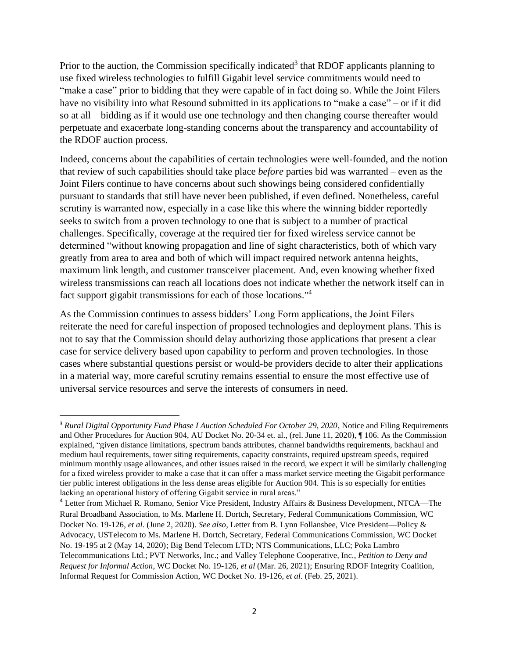Prior to the auction, the Commission specifically indicated<sup>3</sup> that RDOF applicants planning to use fixed wireless technologies to fulfill Gigabit level service commitments would need to "make a case" prior to bidding that they were capable of in fact doing so. While the Joint Filers have no visibility into what Resound submitted in its applications to "make a case" – or if it did so at all – bidding as if it would use one technology and then changing course thereafter would perpetuate and exacerbate long-standing concerns about the transparency and accountability of the RDOF auction process.

Indeed, concerns about the capabilities of certain technologies were well-founded, and the notion that review of such capabilities should take place *before* parties bid was warranted – even as the Joint Filers continue to have concerns about such showings being considered confidentially pursuant to standards that still have never been published, if even defined. Nonetheless, careful scrutiny is warranted now, especially in a case like this where the winning bidder reportedly seeks to switch from a proven technology to one that is subject to a number of practical challenges. Specifically, coverage at the required tier for fixed wireless service cannot be determined "without knowing propagation and line of sight characteristics, both of which vary greatly from area to area and both of which will impact required network antenna heights, maximum link length, and customer transceiver placement. And, even knowing whether fixed wireless transmissions can reach all locations does not indicate whether the network itself can in fact support gigabit transmissions for each of those locations."<sup>4</sup>

As the Commission continues to assess bidders' Long Form applications, the Joint Filers reiterate the need for careful inspection of proposed technologies and deployment plans. This is not to say that the Commission should delay authorizing those applications that present a clear case for service delivery based upon capability to perform and proven technologies. In those cases where substantial questions persist or would-be providers decide to alter their applications in a material way, more careful scrutiny remains essential to ensure the most effective use of universal service resources and serve the interests of consumers in need.

<sup>&</sup>lt;sup>3</sup> Rural Digital Opportunity Fund Phase I Auction Scheduled For October 29, 2020, Notice and Filing Requirements and Other Procedures for Auction 904, AU Docket No. 20-34 et. al., (rel. June 11, 2020), ¶ 106. As the Commission explained, "given distance limitations, spectrum bands attributes, channel bandwidths requirements, backhaul and medium haul requirements, tower siting requirements, capacity constraints, required upstream speeds, required minimum monthly usage allowances, and other issues raised in the record, we expect it will be similarly challenging for a fixed wireless provider to make a case that it can offer a mass market service meeting the Gigabit performance tier public interest obligations in the less dense areas eligible for Auction 904. This is so especially for entities lacking an operational history of offering Gigabit service in rural areas."

<sup>4</sup> Letter from Michael R. Romano, Senior Vice President, Industry Affairs & Business Development, NTCA—The Rural Broadband Association, to Ms. Marlene H. Dortch, Secretary, Federal Communications Commission, WC Docket No. 19-126, *et al*. (June 2, 2020). *See also,* Letter from B. Lynn Follansbee, Vice President—Policy & Advocacy, USTelecom to Ms. Marlene H. Dortch, Secretary, Federal Communications Commission, WC Docket No. 19-195 at 2 (May 14, 2020); Big Bend Telecom LTD; NTS Communications, LLC; Poka Lambro Telecommunications Ltd.; PVT Networks, Inc.; and Valley Telephone Cooperative, Inc., *Petition to Deny and Request for Informal Action*, WC Docket No. 19-126, *et al* (Mar. 26, 2021); Ensuring RDOF Integrity Coalition, Informal Request for Commission Action, WC Docket No. 19-126, *et al*. (Feb. 25, 2021).